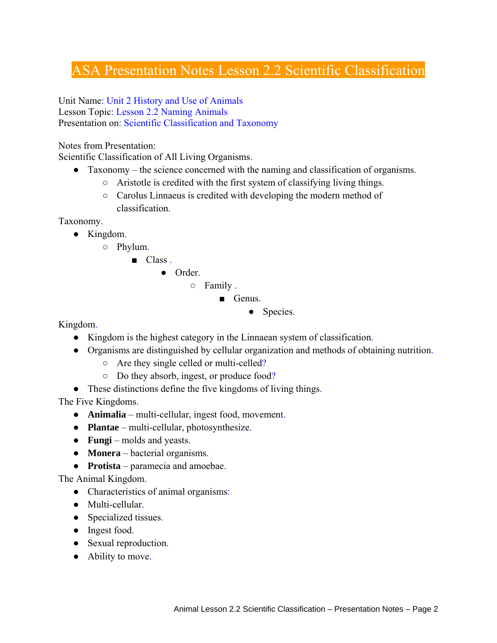## ASA Presentation Notes Lesson 2.2 Scientific Classification

Unit Name: Unit 2 History and Use of Animals Lesson Topic: Lesson 2.2 Naming Animals Presentation on: Scientific Classification and Taxonomy

Notes from Presentation:

Scientific Classification of All Living Organisms.

- Taxonomy the science concerned with the naming and classification of organisms.
	- Aristotle is credited with the first system of classifying living things.
	- Carolus Linnaeus is credited with developing the modern method of classification.

Taxonomy.

- Kingdom.
	- Phylum.
		- Class.

● Order.

- Family .
	- Genus.
		- Species.

Kingdom.

- Kingdom is the highest category in the Linnaean system of classification.
- Organisms are distinguished by cellular organization and methods of obtaining nutrition.
	- Are they single celled or multi-celled?
	- Do they absorb, ingest, or produce food?
- These distinctions define the five kingdoms of living things.

The Five Kingdoms.

- **Animalia** multi-cellular, ingest food, movement.
- **Plantae** multi-cellular, photosynthesize.
- **Fungi** molds and yeasts.
- **Monera** bacterial organisms.
- **Protista** paramecia and amoebae.

The Animal Kingdom.

- Characteristics of animal organisms:
- Multi-cellular.
- Specialized tissues.
- Ingest food.
- Sexual reproduction.
- Ability to move.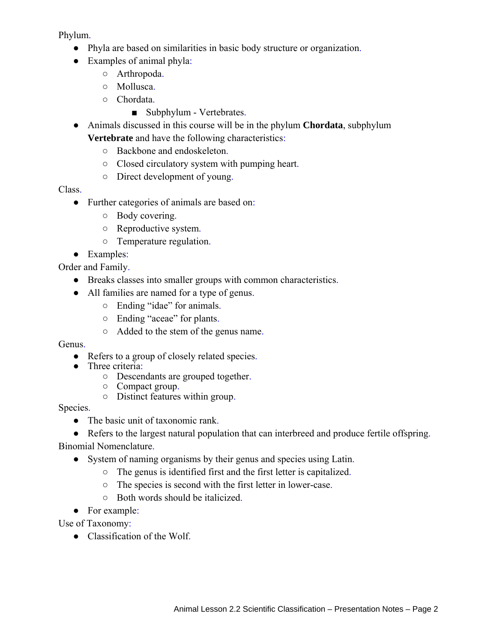Phylum.

- Phyla are based on similarities in basic body structure or organization.
- Examples of animal phyla:
	- Arthropoda.
	- Mollusca.
	- Chordata.
		- Subphylum Vertebrates.
- Animals discussed in this course will be in the phylum **Chordata**, subphylum **Vertebrate** and have the following characteristics:
	- Backbone and endoskeleton.
	- Closed circulatory system with pumping heart.
	- Direct development of young.

### Class.

- Further categories of animals are based on:
	- Body covering.
	- Reproductive system.
	- Temperature regulation.
- Examples:

Order and Family.

- Breaks classes into smaller groups with common characteristics.
- All families are named for a type of genus.
	- Ending "idae" for animals.
	- Ending "aceae" for plants.
	- Added to the stem of the genus name.

### Genus.

- Refers to a group of closely related species.
- Three criteria:
	- Descendants are grouped together.
	- Compact group.
	- Distinct features within group.

### Species.

• The basic unit of taxonomic rank.

• Refers to the largest natural population that can interbreed and produce fertile offspring. Binomial Nomenclature.

- System of naming organisms by their genus and species using Latin.
	- The genus is identified first and the first letter is capitalized.
	- The species is second with the first letter in lower-case.
	- Both words should be italicized.
- For example:

Use of Taxonomy:

● Classification of the Wolf.